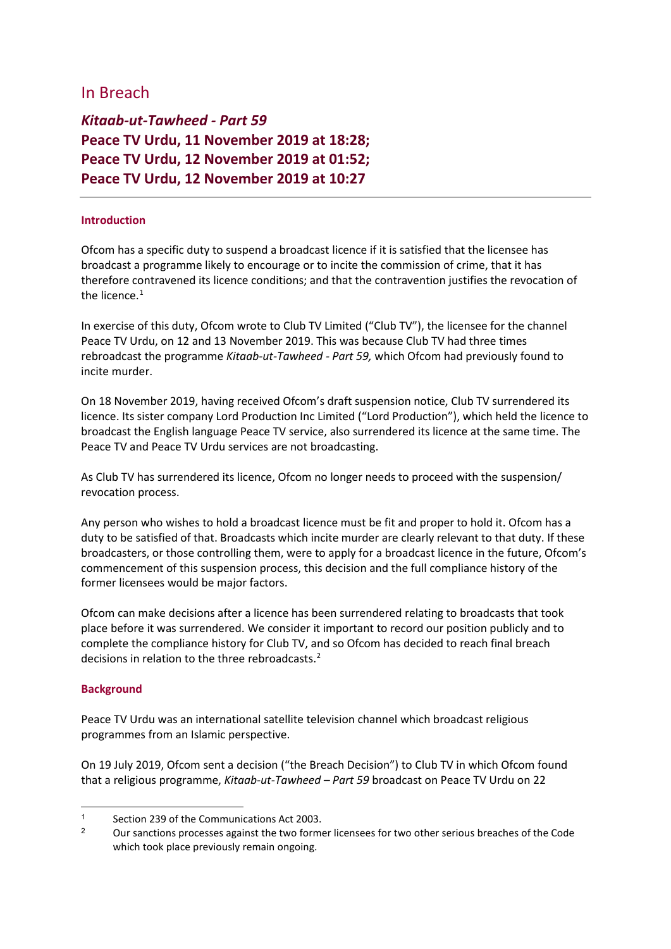# In Breach

*Kitaab-ut-Tawheed - Part 59* **Peace TV Urdu, 11 November 2019 at 18:28; Peace TV Urdu, 12 November 2019 at 01:52; Peace TV Urdu, 12 November 2019 at 10:27**

### **Introduction**

Ofcom has a specific duty to suspend a broadcast licence if it is satisfied that the licensee has broadcast a programme likely to encourage or to incite the commission of crime, that it has therefore contravened its licence conditions; and that the contravention justifies the revocation of the licence. $1$ 

In exercise of this duty, Ofcom wrote to Club TV Limited ("Club TV"), the licensee for the channel Peace TV Urdu, on 12 and 13 November 2019. This was because Club TV had three times rebroadcast the programme *Kitaab-ut-Tawheed - Part 59,* which Ofcom had previously found to incite murder.

On 18 November 2019, having received Ofcom's draft suspension notice, Club TV surrendered its licence. Its sister company Lord Production Inc Limited ("Lord Production"), which held the licence to broadcast the English language Peace TV service, also surrendered its licence at the same time. The Peace TV and Peace TV Urdu services are not broadcasting.

As Club TV has surrendered its licence, Ofcom no longer needs to proceed with the suspension/ revocation process.

Any person who wishes to hold a broadcast licence must be fit and proper to hold it. Ofcom has a duty to be satisfied of that. Broadcasts which incite murder are clearly relevant to that duty. If these broadcasters, or those controlling them, were to apply for a broadcast licence in the future, Ofcom's commencement of this suspension process, this decision and the full compliance history of the former licensees would be major factors.

Ofcom can make decisions after a licence has been surrendered relating to broadcasts that took place before it was surrendered. We consider it important to record our position publicly and to complete the compliance history for Club TV, and so Ofcom has decided to reach final breach decisions in relation to the three rebroadcasts.<sup>[2](#page-0-1)</sup>

#### **Background**

Peace TV Urdu was an international satellite television channel which broadcast religious programmes from an Islamic perspective.

On 19 July 2019, Ofcom sent a decision ("the Breach Decision") to Club TV in which Ofcom found that a religious programme, *Kitaab-ut-Tawheed – Part 59* broadcast on Peace TV Urdu on 22

<span id="page-0-0"></span><sup>1</sup> Section 239 of the Communications Act 2003.<br>2 Our constitution was constanted that the formula

<span id="page-0-1"></span><sup>2</sup> Our sanctions processes against the two former licensees for two other serious breaches of the Code which took place previously remain ongoing.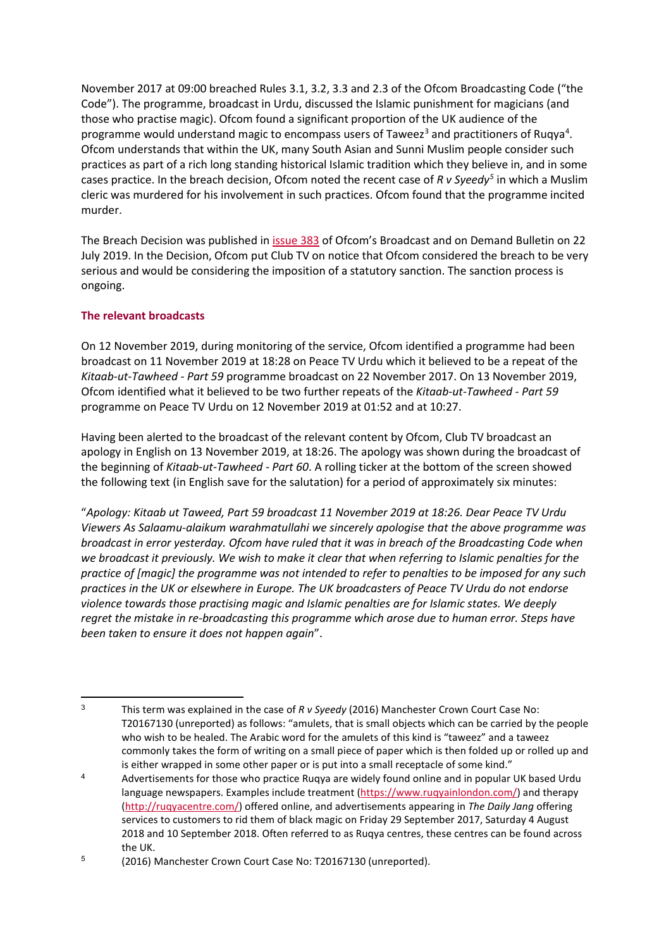November 2017 at 09:00 breached Rules 3.1, 3.2, 3.3 and 2.3 of the Ofcom Broadcasting Code ("the Code"). The programme, broadcast in Urdu, discussed the Islamic punishment for magicians (and those who practise magic). Ofcom found a significant proportion of the UK audience of the programme would understand magic to encompass users of Taweez<sup>[3](#page-1-0)</sup> and practitioners of Ruqya<sup>[4](#page-1-1)</sup>. Ofcom understands that within the UK, many South Asian and Sunni Muslim people consider such practices as part of a rich long standing historical Islamic tradition which they believe in, and in some cases practice. In the breach decision, Ofcom noted the recent case of *R v Syeedy[5](#page-1-2)* in which a Muslim cleric was murdered for his involvement in such practices. Ofcom found that the programme incited murder.

The Breach Decision was published in [issue 383](https://www.ofcom.org.uk/__data/assets/pdf_file/0024/157830/issue-383-of-ofcoms-broadcast-and-on-demand-bulletin.pdf) of Ofcom's Broadcast and on Demand Bulletin on 22 July 2019. In the Decision, Ofcom put Club TV on notice that Ofcom considered the breach to be very serious and would be considering the imposition of a statutory sanction. The sanction process is ongoing.

### **The relevant broadcasts**

On 12 November 2019, during monitoring of the service, Ofcom identified a programme had been broadcast on 11 November 2019 at 18:28 on Peace TV Urdu which it believed to be a repeat of the *Kitaab-ut-Tawheed - Part 59* programme broadcast on 22 November 2017. On 13 November 2019, Ofcom identified what it believed to be two further repeats of the *Kitaab-ut-Tawheed - Part 59* programme on Peace TV Urdu on 12 November 2019 at 01:52 and at 10:27.

Having been alerted to the broadcast of the relevant content by Ofcom, Club TV broadcast an apology in English on 13 November 2019, at 18:26. The apology was shown during the broadcast of the beginning of *Kitaab-ut-Tawheed - Part 60*. A rolling ticker at the bottom of the screen showed the following text (in English save for the salutation) for a period of approximately six minutes:

"*Apology: Kitaab ut Taweed, Part 59 broadcast 11 November 2019 at 18:26. Dear Peace TV Urdu Viewers As Salaamu-alaikum warahmatullahi we sincerely apologise that the above programme was broadcast in error yesterday. Ofcom have ruled that it was in breach of the Broadcasting Code when we broadcast it previously. We wish to make it clear that when referring to Islamic penalties for the practice of [magic] the programme was not intended to refer to penalties to be imposed for any such practices in the UK or elsewhere in Europe. The UK broadcasters of Peace TV Urdu do not endorse violence towards those practising magic and Islamic penalties are for Islamic states. We deeply regret the mistake in re-broadcasting this programme which arose due to human error. Steps have been taken to ensure it does not happen again*".

<span id="page-1-0"></span><sup>3</sup> This term was explained in the case of *R v Syeedy* (2016) Manchester Crown Court Case No: T20167130 (unreported) as follows: "amulets, that is small objects which can be carried by the people who wish to be healed. The Arabic word for the amulets of this kind is "taweez" and a taweez commonly takes the form of writing on a small piece of paper which is then folded up or rolled up and is either wrapped in some other paper or is put into a small receptacle of some kind."

<span id="page-1-1"></span><sup>&</sup>lt;sup>4</sup> Advertisements for those who practice Ruqya are widely found online and in popular UK based Urdu language newspapers. Examples include treatment [\(https://www.ruqyainlondon.com/\)](https://www.ruqyainlondon.com/) and therapy [\(http://ruqyacentre.com/\)](http://ruqyacentre.com/) offered online, and advertisements appearing in *The Daily Jang* offering services to customers to rid them of black magic on Friday 29 September 2017, Saturday 4 August 2018 and 10 September 2018. Often referred to as Ruqya centres, these centres can be found across the UK.

<span id="page-1-2"></span><sup>5</sup> (2016) Manchester Crown Court Case No: T20167130 (unreported).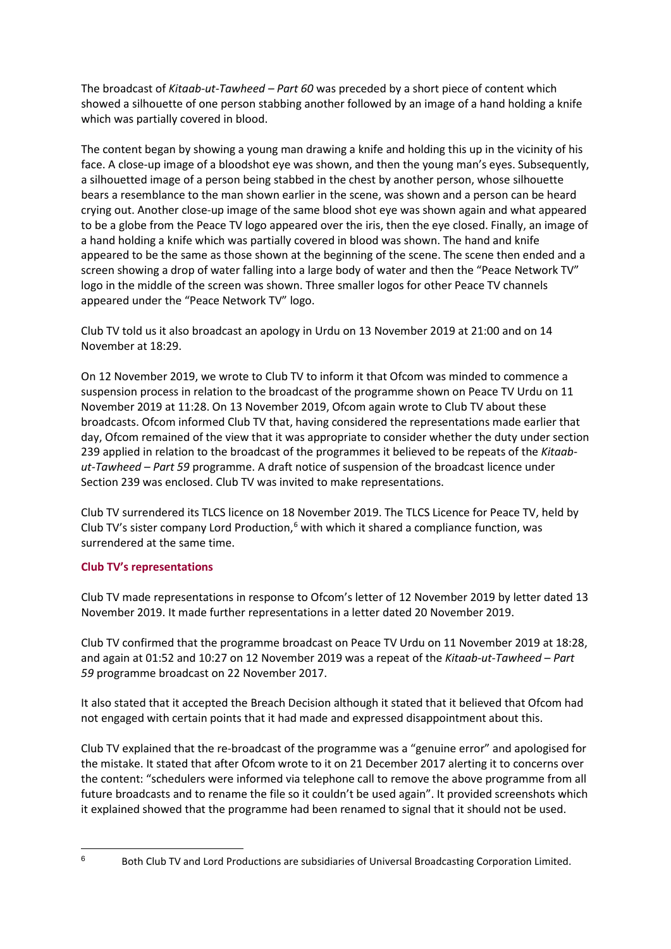The broadcast of *Kitaab-ut-Tawheed – Part 60* was preceded by a short piece of content which showed a silhouette of one person stabbing another followed by an image of a hand holding a knife which was partially covered in blood.

The content began by showing a young man drawing a knife and holding this up in the vicinity of his face. A close-up image of a bloodshot eye was shown, and then the young man's eyes. Subsequently, a silhouetted image of a person being stabbed in the chest by another person, whose silhouette bears a resemblance to the man shown earlier in the scene, was shown and a person can be heard crying out. Another close-up image of the same blood shot eye was shown again and what appeared to be a globe from the Peace TV logo appeared over the iris, then the eye closed. Finally, an image of a hand holding a knife which was partially covered in blood was shown. The hand and knife appeared to be the same as those shown at the beginning of the scene. The scene then ended and a screen showing a drop of water falling into a large body of water and then the "Peace Network TV" logo in the middle of the screen was shown. Three smaller logos for other Peace TV channels appeared under the "Peace Network TV" logo.

Club TV told us it also broadcast an apology in Urdu on 13 November 2019 at 21:00 and on 14 November at 18:29.

On 12 November 2019, we wrote to Club TV to inform it that Ofcom was minded to commence a suspension process in relation to the broadcast of the programme shown on Peace TV Urdu on 11 November 2019 at 11:28. On 13 November 2019, Ofcom again wrote to Club TV about these broadcasts. Ofcom informed Club TV that, having considered the representations made earlier that day, Ofcom remained of the view that it was appropriate to consider whether the duty under section 239 applied in relation to the broadcast of the programmes it believed to be repeats of the *Kitaabut-Tawheed – Part 59* programme. A draft notice of suspension of the broadcast licence under Section 239 was enclosed. Club TV was invited to make representations.

Club TV surrendered its TLCS licence on 18 November 2019. The TLCS Licence for Peace TV, held by Club TV's sister company Lord Production, $<sup>6</sup>$  $<sup>6</sup>$  $<sup>6</sup>$  with which it shared a compliance function, was</sup> surrendered at the same time.

## **Club TV's representations**

Club TV made representations in response to Ofcom's letter of 12 November 2019 by letter dated 13 November 2019. It made further representations in a letter dated 20 November 2019.

Club TV confirmed that the programme broadcast on Peace TV Urdu on 11 November 2019 at 18:28, and again at 01:52 and 10:27 on 12 November 2019 was a repeat of the *Kitaab-ut-Tawheed – Part 59* programme broadcast on 22 November 2017.

It also stated that it accepted the Breach Decision although it stated that it believed that Ofcom had not engaged with certain points that it had made and expressed disappointment about this.

Club TV explained that the re-broadcast of the programme was a "genuine error" and apologised for the mistake. It stated that after Ofcom wrote to it on 21 December 2017 alerting it to concerns over the content: "schedulers were informed via telephone call to remove the above programme from all future broadcasts and to rename the file so it couldn't be used again". It provided screenshots which it explained showed that the programme had been renamed to signal that it should not be used.

 $6$  Both Club TV and Lord Productions are subsidiaries of Universal Broadcasting Corporation Limited.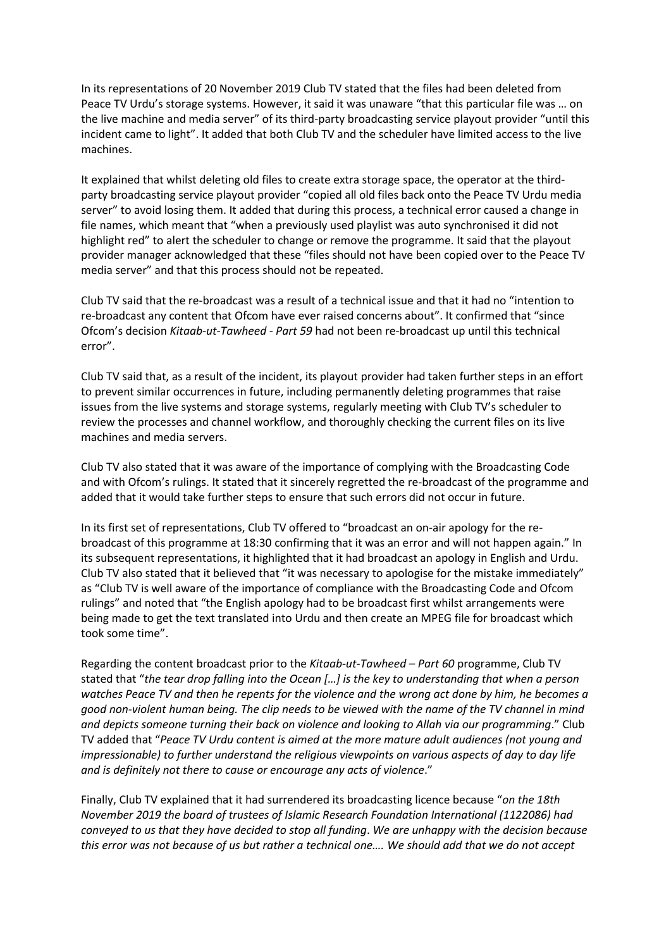In its representations of 20 November 2019 Club TV stated that the files had been deleted from Peace TV Urdu's storage systems. However, it said it was unaware "that this particular file was … on the live machine and media server" of its third-party broadcasting service playout provider "until this incident came to light". It added that both Club TV and the scheduler have limited access to the live machines.

It explained that whilst deleting old files to create extra storage space, the operator at the thirdparty broadcasting service playout provider "copied all old files back onto the Peace TV Urdu media server" to avoid losing them. It added that during this process, a technical error caused a change in file names, which meant that "when a previously used playlist was auto synchronised it did not highlight red" to alert the scheduler to change or remove the programme. It said that the playout provider manager acknowledged that these "files should not have been copied over to the Peace TV media server" and that this process should not be repeated.

Club TV said that the re-broadcast was a result of a technical issue and that it had no "intention to re-broadcast any content that Ofcom have ever raised concerns about". It confirmed that "since Ofcom's decision *Kitaab-ut-Tawheed - Part 59* had not been re-broadcast up until this technical error".

Club TV said that, as a result of the incident, its playout provider had taken further steps in an effort to prevent similar occurrences in future, including permanently deleting programmes that raise issues from the live systems and storage systems, regularly meeting with Club TV's scheduler to review the processes and channel workflow, and thoroughly checking the current files on its live machines and media servers.

Club TV also stated that it was aware of the importance of complying with the Broadcasting Code and with Ofcom's rulings. It stated that it sincerely regretted the re-broadcast of the programme and added that it would take further steps to ensure that such errors did not occur in future.

In its first set of representations, Club TV offered to "broadcast an on-air apology for the rebroadcast of this programme at 18:30 confirming that it was an error and will not happen again." In its subsequent representations, it highlighted that it had broadcast an apology in English and Urdu. Club TV also stated that it believed that "it was necessary to apologise for the mistake immediately" as "Club TV is well aware of the importance of compliance with the Broadcasting Code and Ofcom rulings" and noted that "the English apology had to be broadcast first whilst arrangements were being made to get the text translated into Urdu and then create an MPEG file for broadcast which took some time".

Regarding the content broadcast prior to the *Kitaab-ut-Tawheed – Part 60* programme, Club TV stated that "*the tear drop falling into the Ocean […] is the key to understanding that when a person watches Peace TV and then he repents for the violence and the wrong act done by him, he becomes a good non-violent human being. The clip needs to be viewed with the name of the TV channel in mind and depicts someone turning their back on violence and looking to Allah via our programming*." Club TV added that "*Peace TV Urdu content is aimed at the more mature adult audiences (not young and impressionable) to further understand the religious viewpoints on various aspects of day to day life and is definitely not there to cause or encourage any acts of violence*."

Finally, Club TV explained that it had surrendered its broadcasting licence because "*on the 18th November 2019 the board of trustees of Islamic Research Foundation International (1122086) had conveyed to us that they have decided to stop all funding*. *We are unhappy with the decision because this error was not because of us but rather a technical one…. We should add that we do not accept*